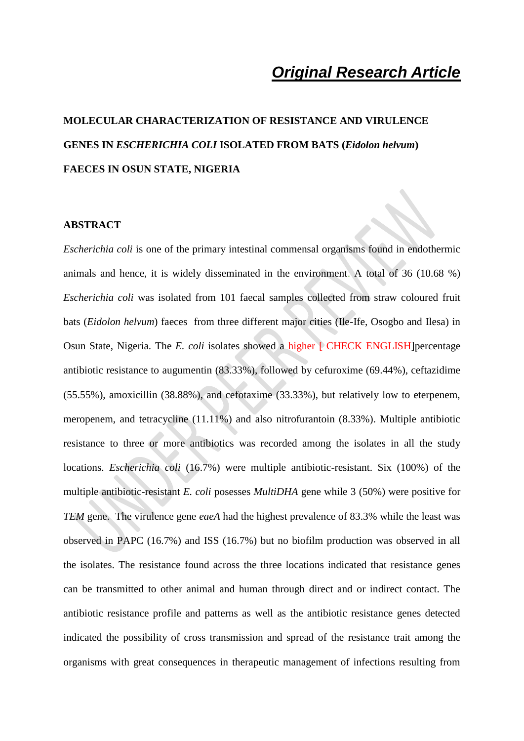# *Original Research Article*

# **MOLECULAR CHARACTERIZATION OF RESISTANCE AND VIRULENCE GENES IN** *ESCHERICHIA COLI* **ISOLATED FROM BATS (***Eidolon helvum***) FAECES IN OSUN STATE, NIGERIA**

#### **ABSTRACT**

*Escherichia coli* is one of the primary intestinal commensal organisms found in endothermic animals and hence, it is widely disseminated in the environment. A total of 36 (10.68 %) *Escherichia coli* was isolated from 101 faecal samples collected from straw coloured fruit bats (*Eidolon helvum*) faeces from three different major cities (Ile-Ife, Osogbo and Ilesa) in Osun State, Nigeria. The *E. coli* isolates showed a higher [ CHECK ENGLISH] percentage antibiotic resistance to augumentin (83.33%), followed by cefuroxime (69.44%), ceftazidime (55.55%), amoxicillin (38.88%), and cefotaxime (33.33%), but relatively low to eterpenem, meropenem, and tetracycline (11.11%) and also nitrofurantoin (8.33%). Multiple antibiotic resistance to three or more antibiotics was recorded among the isolates in all the study locations. *Escherichia coli* (16.7%) were multiple antibiotic-resistant. Six (100%) of the multiple antibiotic-resistant *E. coli* posesses *MultiDHA* gene while 3 (50%) were positive for *TEM* gene. The virulence gene *eaeA* had the highest prevalence of 83.3% while the least was observed in PAPC (16.7%) and ISS (16.7%) but no biofilm production was observed in all the isolates. The resistance found across the three locations indicated that resistance genes can be transmitted to other animal and human through direct and or indirect contact. The antibiotic resistance profile and patterns as well as the antibiotic resistance genes detected indicated the possibility of cross transmission and spread of the resistance trait among the organisms with great consequences in therapeutic management of infections resulting from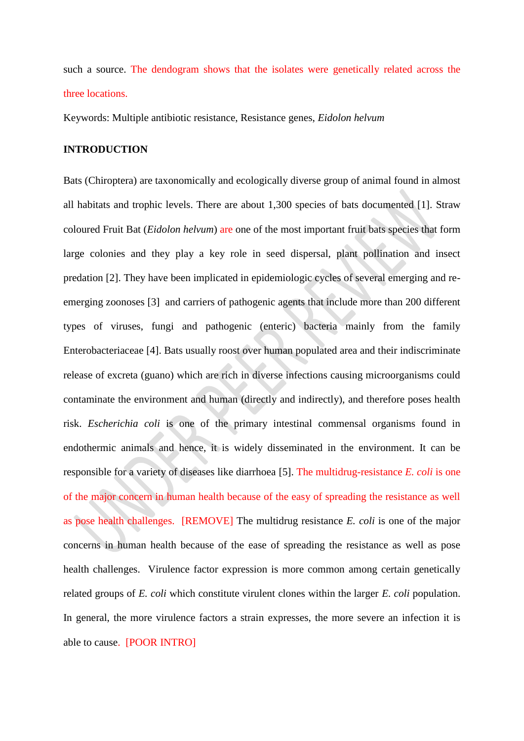such a source. The dendogram shows that the isolates were genetically related across the three locations.

Keywords: Multiple antibiotic resistance, Resistance genes, *Eidolon helvum*

## **INTRODUCTION**

Bats (Chiroptera) are taxonomically and ecologically diverse group of animal found in almost all habitats and trophic levels. There are about 1,300 species of bats documented [1]. Straw coloured Fruit Bat (*Eidolon helvum*) are one of the most important fruit bats species that form large colonies and they play a key role in seed dispersal, plant pollination and insect predation [2]. They have been implicated in epidemiologic cycles of several emerging and reemerging zoonoses [3] and carriers of pathogenic agents that include more than 200 different types of viruses, fungi and pathogenic (enteric) bacteria mainly from the family Enterobacteriaceae [4]. Bats usually roost over human populated area and their indiscriminate release of excreta (guano) which are rich in diverse infections causing microorganisms could contaminate the environment and human (directly and indirectly), and therefore poses health risk. *Escherichia coli* is one of the primary intestinal commensal organisms found in endothermic animals and hence, it is widely disseminated in the environment. It can be responsible for a variety of diseases like diarrhoea [5]. The multidrug-resistance *E. coli* is one of the major concern in human health because of the easy of spreading the resistance as well as pose health challenges. [REMOVE] The multidrug resistance *E. coli* is one of the major concerns in human health because of the ease of spreading the resistance as well as pose health challenges. Virulence factor expression is more common among certain genetically related groups of *E. coli* which constitute virulent clones within the larger *E. coli* population. In general, the more virulence factors a strain expresses, the more severe an infection it is able to cause. [POOR INTRO]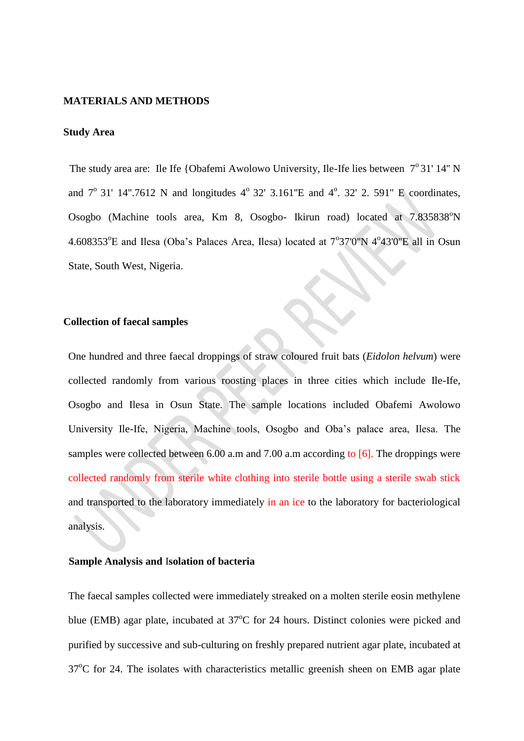#### **MATERIALS AND METHODS**

### **Study Area**

The study area are: Ile Ife {Obafemi Awolowo University, Ile-Ife lies between  $7^{\circ}31'14''$  N and  $7^{\circ}$  31' 14".7612 N and longitudes  $4^{\circ}$  32' 3.161"E and  $4^{\circ}$ . 32' 2. 591" E coordinates, Osogbo (Machine tools area, Km 8, Osogbo- Ikirun road) located at 7.835838°N 4.608353°E and Ilesa (Oba's Palaces Area, Ilesa) located at 7°37'0"N 4°43'0"E all in Osun State, South West, Nigeria.

#### **Collection of faecal samples**

One hundred and three faecal droppings of straw coloured fruit bats (*Eidolon helvum*) were collected randomly from various roosting places in three cities which include Ile-Ife, Osogbo and Ilesa in Osun State. The sample locations included Obafemi Awolowo University Ile-Ife, Nigeria, Machine tools, Osogbo and Oba's palace area, Ilesa. The samples were collected between 6.00 a.m and 7.00 a.m according to [6]. The droppings were collected randomly from sterile white clothing into sterile bottle using a sterile swab stick and transported to the laboratory immediately in an ice to the laboratory for bacteriological analysis.

#### **Sample Analysis and** I**solation of bacteria**

The faecal samples collected were immediately streaked on a molten sterile eosin methylene blue (EMB) agar plate, incubated at  $37^{\circ}$ C for 24 hours. Distinct colonies were picked and purified by successive and sub-culturing on freshly prepared nutrient agar plate, incubated at  $37^{\circ}$ C for 24. The isolates with characteristics metallic greenish sheen on EMB agar plate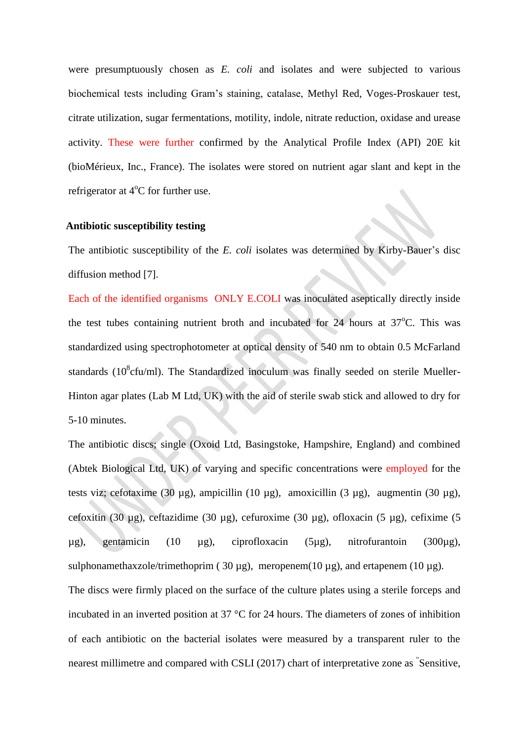were presumptuously chosen as *E. coli* and isolates and were subjected to various biochemical tests including Gram's staining, catalase, Methyl Red, Voges-Proskauer test, citrate utilization, sugar fermentations, motility, indole, nitrate reduction, oxidase and urease activity. These were further confirmed by the Analytical Profile Index (API) 20E kit (bioMérieux, Inc., France). The isolates were stored on nutrient agar slant and kept in the refrigerator at  $4^{\circ}$ C for further use.

### **Antibiotic susceptibility testing**

The antibiotic susceptibility of the *E. coli* isolates was determined by Kirby-Bauer's disc diffusion method [7].

Each of the identified organisms ONLY E.COLI was inoculated aseptically directly inside the test tubes containing nutrient broth and incubated for  $24$  hours at  $37^{\circ}$ C. This was standardized using spectrophotometer at optical density of 540 nm to obtain 0.5 McFarland standards ( $10^8$ cfu/ml). The Standardized inoculum was finally seeded on sterile Mueller-Hinton agar plates (Lab M Ltd, UK) with the aid of sterile swab stick and allowed to dry for 5-10 minutes.

The antibiotic discs; single (Oxoid Ltd, Basingstoke, Hampshire, England) and combined (Abtek Biological Ltd, UK) of varying and specific concentrations were employed for the tests viz; cefotaxime (30 μg), ampicillin (10 μg), amoxicillin (3 μg), augmentin (30 μg), cefoxitin (30 µg), ceftazidime (30 µg), cefuroxime (30 µg), ofloxacin (5 µg), cefixime (5 µg), gentamicin (10 µg), ciprofloxacin (5µg), nitrofurantoin (300µg), sulphonamethaxzole/trimethoprim (30  $\mu$ g), meropenem(10  $\mu$ g), and ertapenem (10  $\mu$ g). The discs were firmly placed on the surface of the culture plates using a sterile forceps and incubated in an inverted position at 37 °C for 24 hours. The diameters of zones of inhibition

of each antibiotic on the bacterial isolates were measured by a transparent ruler to the nearest millimetre and compared with CSLI (2017) chart of interpretative zone as " Sensitive,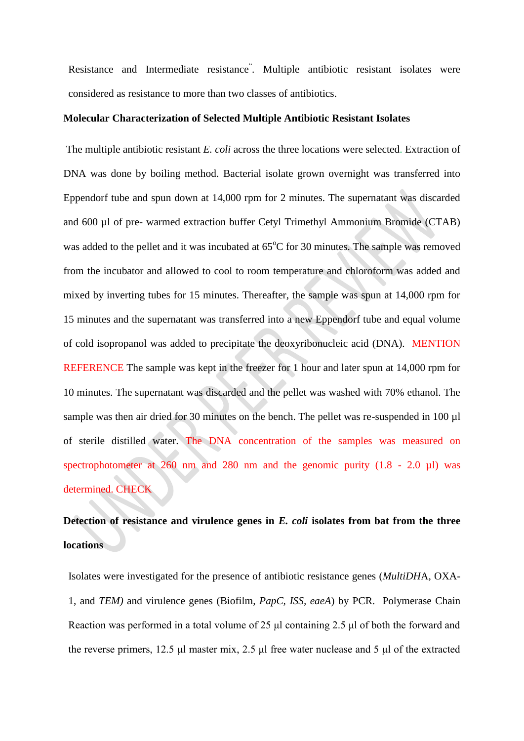Resistance and Intermediate resistance" . Multiple antibiotic resistant isolates were considered as resistance to more than two classes of antibiotics.

### **Molecular Characterization of Selected Multiple Antibiotic Resistant Isolates**

The multiple antibiotic resistant *E. coli* across the three locations were selected. Extraction of DNA was done by boiling method. Bacterial isolate grown overnight was transferred into Eppendorf tube and spun down at 14,000 rpm for 2 minutes. The supernatant was discarded and 600 µl of pre- warmed extraction buffer Cetyl Trimethyl Ammonium Bromide (CTAB) was added to the pellet and it was incubated at  $65^{\circ}$ C for 30 minutes. The sample was removed from the incubator and allowed to cool to room temperature and chloroform was added and mixed by inverting tubes for 15 minutes. Thereafter, the sample was spun at 14,000 rpm for 15 minutes and the supernatant was transferred into a new Eppendorf tube and equal volume of cold isopropanol was added to precipitate the deoxyribonucleic acid (DNA). MENTION REFERENCE The sample was kept in the freezer for 1 hour and later spun at 14,000 rpm for 10 minutes. The supernatant was discarded and the pellet was washed with 70% ethanol. The sample was then air dried for 30 minutes on the bench. The pellet was re-suspended in 100 µl of sterile distilled water. The DNA concentration of the samples was measured on spectrophotometer at  $260$  nm and  $280$  nm and the genomic purity  $(1.8 - 2.0 \mu l)$  was determined. CHECK

# **Detection of resistance and virulence genes in** *E. coli* **isolates from bat from the three locations**

Isolates were investigated for the presence of antibiotic resistance genes (*MultiDH*A, OXA-1, and *TEM)* and virulence genes (Biofilm, *PapC, ISS, eaeA*) by PCR. Polymerase Chain Reaction was performed in a total volume of 25 μl containing 2.5 μl of both the forward and the reverse primers, 12.5 μl master mix, 2.5 μl free water nuclease and 5 μl of the extracted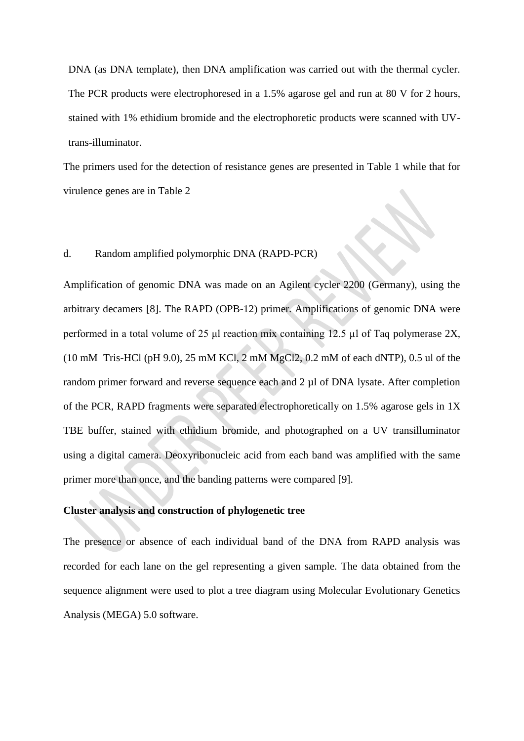DNA (as DNA template), then DNA amplification was carried out with the thermal cycler. The PCR products were electrophoresed in a 1.5% agarose gel and run at 80 V for 2 hours, stained with 1% ethidium bromide and the electrophoretic products were scanned with UVtrans-illuminator.

The primers used for the detection of resistance genes are presented in Table 1 while that for virulence genes are in Table 2

## d. Random amplified polymorphic DNA (RAPD-PCR)

Amplification of genomic DNA was made on an Agilent cycler 2200 (Germany), using the arbitrary decamers [8]. The RAPD (OPB-12) primer. Amplifications of genomic DNA were performed in a total volume of 25 μl reaction mix containing 12.5 µl of Taq polymerase 2X, (10 mM Tris-HCl (pH 9.0), 25 mM KCl, 2 mM MgCl2, 0.2 mM of each dNTP), 0.5 ul of the random primer forward and reverse sequence each and 2 µl of DNA lysate. After completion of the PCR, RAPD fragments were separated electrophoretically on 1.5% agarose gels in 1X TBE buffer, stained with ethidium bromide, and photographed on a UV transilluminator using a digital camera. Deoxyribonucleic acid from each band was amplified with the same primer more than once, and the banding patterns were compared [9].

## **Cluster analysis and construction of phylogenetic tree**

The presence or absence of each individual band of the DNA from RAPD analysis was recorded for each lane on the gel representing a given sample. The data obtained from the sequence alignment were used to plot a tree diagram using Molecular Evolutionary Genetics Analysis (MEGA) 5.0 software.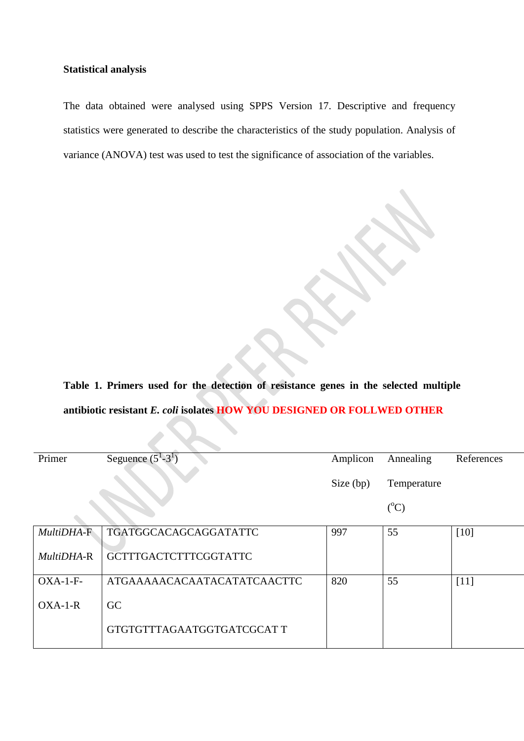### **Statistical analysis**

The data obtained were analysed using SPPS Version 17. Descriptive and frequency statistics were generated to describe the characteristics of the study population. Analysis of variance (ANOVA) test was used to test the significance of association of the variables.

**Table 1. Primers used for the detection of resistance genes in the selected multiple antibiotic resistant** *E. coli* **isolates HOW YOU DESIGNED OR FOLLWED OTHER**

| Primer     | Seguence $(5^1-3^1)$         | Amplicon  | Annealing       | References |
|------------|------------------------------|-----------|-----------------|------------|
|            |                              | Size (bp) | Temperature     |            |
|            |                              |           | $({}^{\circ}C)$ |            |
|            |                              |           |                 |            |
| MultiDHA-F | TGATGGCACAGCAGGATATTC        | 997       | 55              | [10]       |
| MultiDHA-R | <b>GCTTTGACTCTTTCGGTATTC</b> |           |                 |            |
| $OXA-1-F-$ | ATGAAAAACACAATACATATCAACTTC  | 820       | 55              | $[11]$     |

| $OXA-1-F-$ | ATGAAAAACACAATACATATCAACTTC | -820 |  |
|------------|-----------------------------|------|--|
| $OXA-1-R$  |                             |      |  |
|            | GTGTGTTTAGAATGGTGATCGCAT T  |      |  |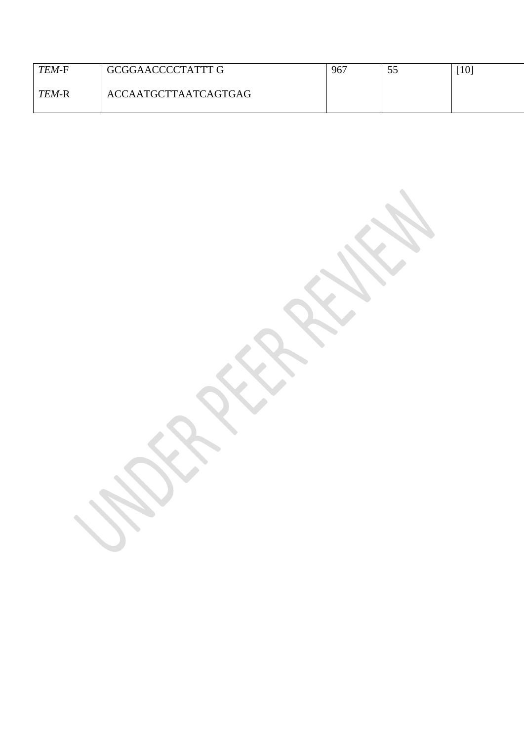| TEM-F        | GCGGAACCCCTATTT G           | 967 | ۔ ب | $\lceil 10 \rceil$ |
|--------------|-----------------------------|-----|-----|--------------------|
| <i>TEM-R</i> | <b>ACCAATGCTTAATCAGTGAG</b> |     |     |                    |

 $\overline{\mathcal{L}}$ 

**SER** 

R.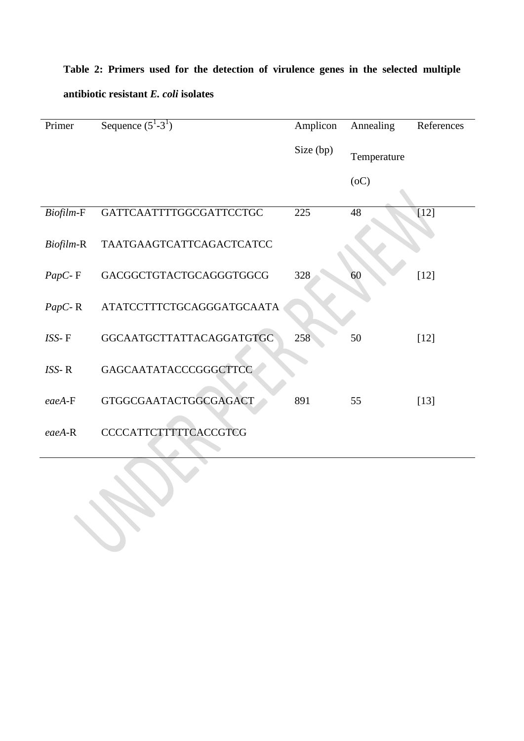| Primer           | Sequence $(5^1-3^1)$      | Amplicon  | Annealing   | References |
|------------------|---------------------------|-----------|-------------|------------|
|                  |                           |           |             |            |
|                  |                           | Size (bp) | Temperature |            |
|                  |                           |           | (0C)        |            |
|                  |                           |           |             |            |
| Biofilm-F        | GATTCAATTTTGGCGATTCCTGC   | 225       | 48          | $[12]$     |
|                  |                           |           |             |            |
| <i>Biofilm-R</i> | TAATGAAGTCATTCAGACTCATCC  |           |             |            |
|                  |                           |           |             |            |
| $PapC - F$       | GACGGCTGTACTGCAGGGTGGCG   | 328       | 60          | $[12]$     |
|                  |                           |           |             |            |
| $PapC-R$         | ATATCCTTTCTGCAGGGATGCAATA |           |             |            |
|                  |                           |           |             |            |
| ISS-F            | GGCAATGCTTATTACAGGATGTGC  | 258       | 50          | $[12]$     |
|                  |                           |           |             |            |
| $ISS- R$         | GAGCAATATACCCGGGCTTCC     |           |             |            |
|                  |                           |           |             |            |
| $eaeA-F$         | GTGGCGAATACTGGCGAGACT     | 891       | 55          | $[13]$     |
|                  |                           |           |             |            |
| $eaeA-R$         | CCCCATTCTTTTTCACCGTCG     |           |             |            |
|                  |                           |           |             |            |

# **Table 2: Primers used for the detection of virulence genes in the selected multiple antibiotic resistant** *E. coli* **isolates**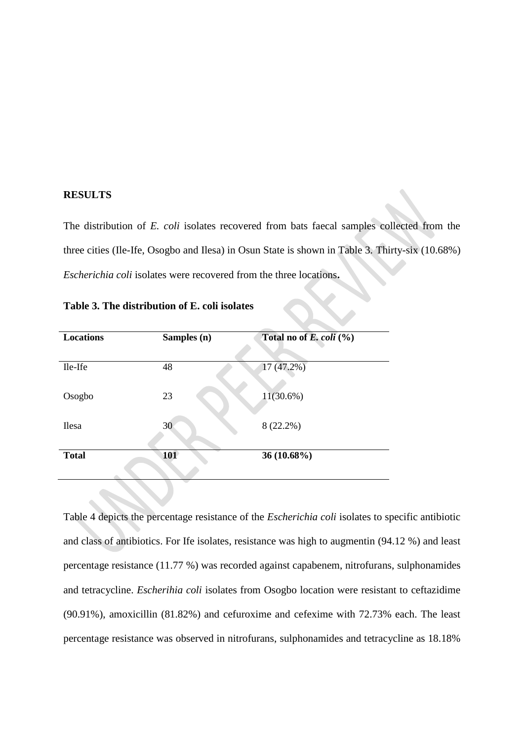#### **RESULTS**

The distribution of *E. coli* isolates recovered from bats faecal samples collected from the three cities (Ile-Ife, Osogbo and Ilesa) in Osun State is shown in Table 3. Thirty-six (10.68%) *Escherichia coli* isolates were recovered from the three locations**.**

| <b>Locations</b> | Samples (n) | Total no of E. coli $(\% )$ |
|------------------|-------------|-----------------------------|
|                  |             |                             |
| Ile-Ife          | 48          | $17(47.2\%)$                |
|                  |             |                             |
| Osogbo           | 23          | $11(30.6\%)$                |
|                  |             |                             |
| Ilesa            | 30          | $8(22.2\%)$                 |
|                  |             |                             |
| <b>Total</b>     | <b>101</b>  | 36 (10.68%)                 |
|                  |             |                             |
|                  |             |                             |

**Table 3. The distribution of E. coli isolates** 

Table 4 depicts the percentage resistance of the *Escherichia coli* isolates to specific antibiotic and class of antibiotics. For Ife isolates, resistance was high to augmentin (94.12 %) and least percentage resistance (11.77 %) was recorded against capabenem, nitrofurans, sulphonamides and tetracycline. *Escherihia coli* isolates from Osogbo location were resistant to ceftazidime (90.91%), amoxicillin (81.82%) and cefuroxime and cefexime with 72.73% each. The least percentage resistance was observed in nitrofurans, sulphonamides and tetracycline as 18.18%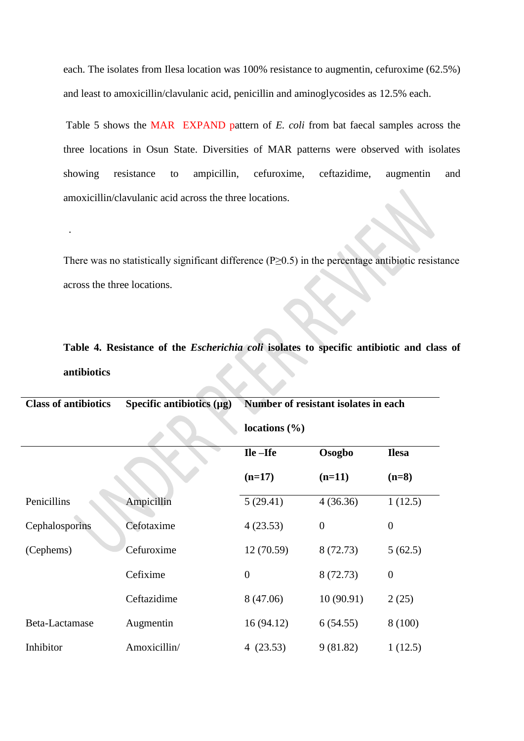each. The isolates from Ilesa location was 100% resistance to augmentin, cefuroxime (62.5%) and least to amoxicillin/clavulanic acid, penicillin and aminoglycosides as 12.5% each.

Table 5 shows the MAR EXPAND pattern of *E. coli* from bat faecal samples across the three locations in Osun State. Diversities of MAR patterns were observed with isolates showing resistance to ampicillin, cefuroxime, ceftazidime, augmentin and amoxicillin/clavulanic acid across the three locations.

There was no statistically significant difference (P≥0.5) in the percentage antibiotic resistance across the three locations.

.

# **Table 4. Resistance of the** *Escherichia coli* **isolates to specific antibiotic and class of antibiotics**

| <b>Class of antibiotics</b> | Specific antibiotics $(\mu g)$ | Number of resistant isolates in each |           |                  |
|-----------------------------|--------------------------------|--------------------------------------|-----------|------------------|
|                             |                                | locations $(\% )$                    |           |                  |
|                             |                                | Ile-Ife                              | Osogbo    | <b>Ilesa</b>     |
|                             |                                | $(n=17)$                             | $(n=11)$  | $(n=8)$          |
| Penicillins                 | Ampicillin                     | 5(29.41)                             | 4(36.36)  | 1(12.5)          |
| Cephalosporins              | Cefotaxime                     | 4(23.53)                             | $\theta$  | $\boldsymbol{0}$ |
| (Cephems)                   | Cefuroxime                     | 12(70.59)                            | 8 (72.73) | 5(62.5)          |
|                             | Cefixime                       | $\boldsymbol{0}$                     | 8 (72.73) | $\boldsymbol{0}$ |
|                             | Ceftazidime                    | 8 (47.06)                            | 10(90.91) | 2(25)            |
| Beta-Lactamase              | Augmentin                      | 16(94.12)                            | 6(54.55)  | 8 (100)          |
| Inhibitor                   | Amoxicillin/                   | 4(23.53)                             | 9(81.82)  | 1(12.5)          |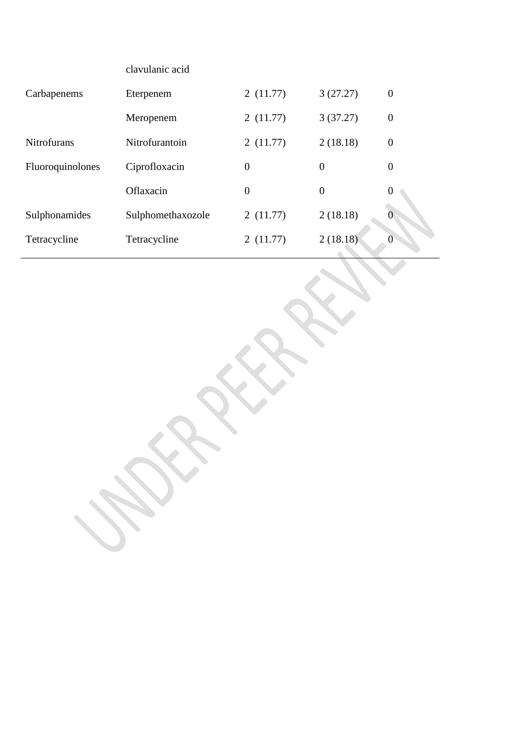|                    | clavulanic acid   |                |                |                  |
|--------------------|-------------------|----------------|----------------|------------------|
| Carbapenems        | Eterpenem         | 2(11.77)       | 3(27.27)       | $\boldsymbol{0}$ |
|                    | Meropenem         | 2(11.77)       | 3(37.27)       | $\boldsymbol{0}$ |
| <b>Nitrofurans</b> | Nitrofurantoin    | 2(11.77)       | 2(18.18)       | $\boldsymbol{0}$ |
| Fluoroquinolones   | Ciprofloxacin     | $\overline{0}$ | $\overline{0}$ | $\overline{0}$   |
|                    | Oflaxacin         | $\overline{0}$ | $\overline{0}$ | $\boldsymbol{0}$ |
| Sulphonamides      | Sulphomethaxozole | 2(11.77)       | 2(18.18)       |                  |
| Tetracycline       | Tetracycline      | 2(11.77)       | 2(18.18)       | 0                |
|                    |                   |                |                |                  |

k.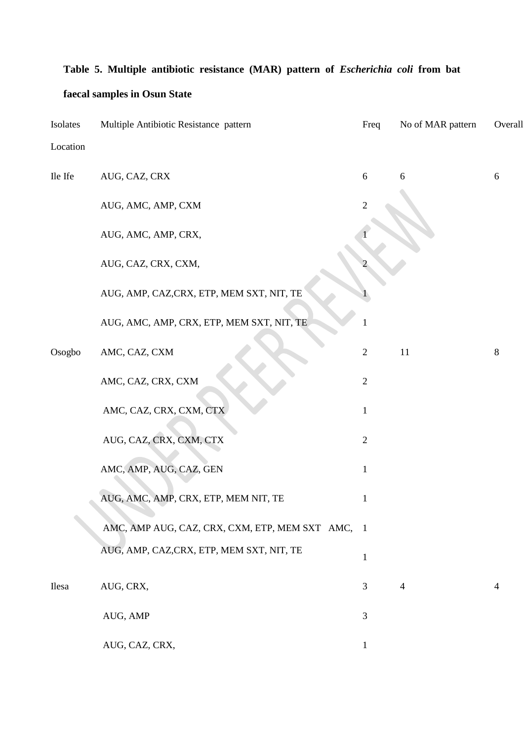# **Table 5. Multiple antibiotic resistance (MAR) pattern of** *Escherichia coli* **from bat**

## **faecal samples in Osun State**

| Isolates | Multiple Antibiotic Resistance pattern           | Freq             | No of MAR pattern | Overall    |
|----------|--------------------------------------------------|------------------|-------------------|------------|
| Location |                                                  |                  |                   |            |
| Ile Ife  | AUG, CAZ, CRX                                    | $\sqrt{6}$       | 6                 | $\sqrt{6}$ |
|          | AUG, AMC, AMP, CXM                               | $\overline{c}$   |                   |            |
|          | AUG, AMC, AMP, CRX,                              |                  |                   |            |
|          | AUG, CAZ, CRX, CXM,                              |                  |                   |            |
|          | AUG, AMP, CAZ, CRX, ETP, MEM SXT, NIT, TE        |                  |                   |            |
|          | AUG, AMC, AMP, CRX, ETP, MEM SXT, NIT, TE        |                  |                   |            |
| Osogbo   | AMC, CAZ, CXM                                    | $\mathbf{2}$     | 11                | 8          |
|          | AMC, CAZ, CRX, CXM                               | $\boldsymbol{2}$ |                   |            |
|          | AMC, CAZ, CRX, CXM, CTX                          | $\mathbf{1}$     |                   |            |
|          | AUG, CAZ, CRX, CXM, CTX                          | $\mathbf{2}$     |                   |            |
|          | AMC, AMP, AUG, CAZ, GEN                          | $\mathbf{1}$     |                   |            |
|          | AUG, AMC, AMP, CRX, ETP, MEM NIT, TE             | $\mathbf{1}$     |                   |            |
|          | AMC, AMP AUG, CAZ, CRX, CXM, ETP, MEM SXT AMC, 1 |                  |                   |            |
|          | AUG, AMP, CAZ, CRX, ETP, MEM SXT, NIT, TE        | $\mathbf{1}$     |                   |            |
| Ilesa    | AUG, CRX,                                        | 3                | $\overline{4}$    | 4          |
|          | AUG, AMP                                         | 3                |                   |            |
|          | AUG, CAZ, CRX,                                   | $\mathbf{1}$     |                   |            |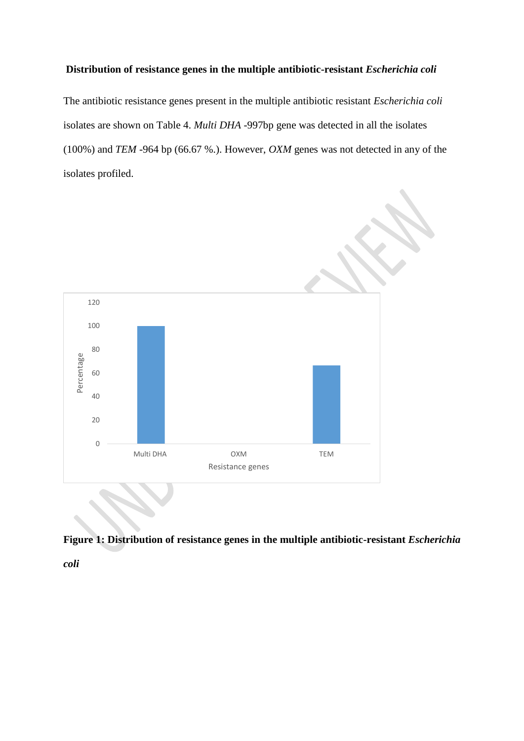### **Distribution of resistance genes in the multiple antibiotic-resistant** *Escherichia coli*

The antibiotic resistance genes present in the multiple antibiotic resistant *Escherichia coli* isolates are shown on Table 4. *Multi DHA* -997bp gene was detected in all the isolates (100%) and *TEM* -964 bp (66.67 %.). However, *OXM* genes was not detected in any of the isolates profiled.





*coli*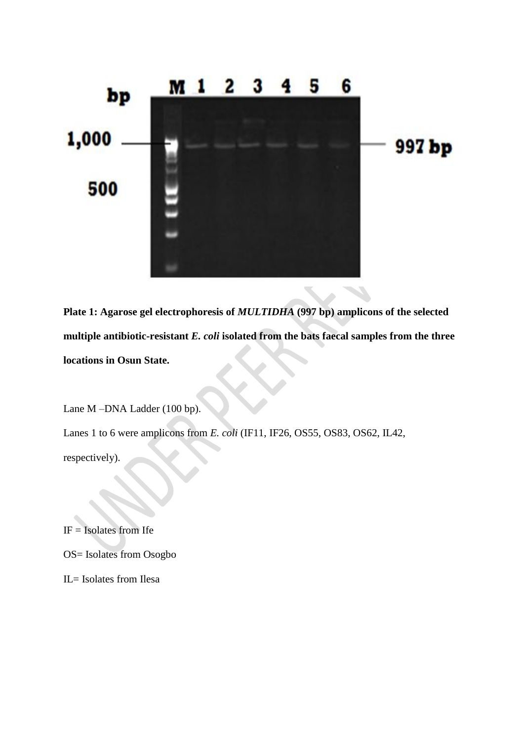

**Plate 1: Agarose gel electrophoresis of** *MULTIDHA* **(997 bp) amplicons of the selected multiple antibiotic-resistant** *E. coli* **isolated from the bats faecal samples from the three locations in Osun State.**

Lane M –DNA Ladder (100 bp).

Lanes 1 to 6 were amplicons from *E. coli* (IF11, IF26, OS55, OS83, OS62, IL42,

respectively).

 $IF = Isolates from Ife$ 

OS= Isolates from Osogbo

IL= Isolates from Ilesa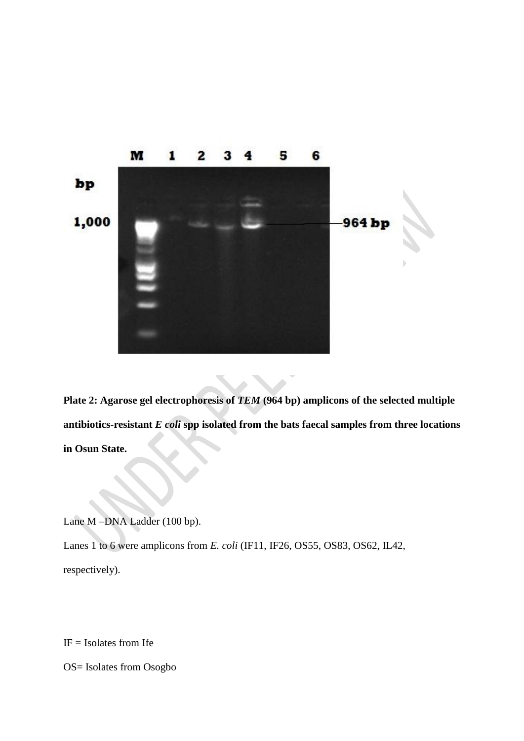

**Plate 2: Agarose gel electrophoresis of** *TEM* **(964 bp) amplicons of the selected multiple antibiotics-resistant** *E coli* **spp isolated from the bats faecal samples from three locations in Osun State.**

Lane M –DNA Ladder (100 bp).

Lanes 1 to 6 were amplicons from *E. coli* (IF11, IF26, OS55, OS83, OS62, IL42,

respectively).

 $IF = Isolates from Ife$ 

OS= Isolates from Osogbo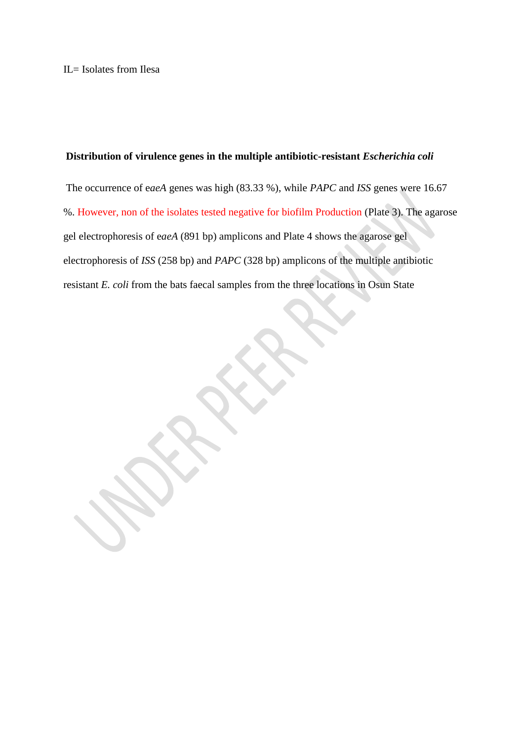### **Distribution of virulence genes in the multiple antibiotic-resistant** *Escherichia coli*

The occurrence of e*aeA* genes was high (83.33 %), while *PAPC* and *ISS* genes were 16.67 %. However, non of the isolates tested negative for biofilm Production (Plate 3). The agarose gel electrophoresis of e*aeA* (891 bp) amplicons and Plate 4 shows the agarose gel electrophoresis of *ISS* (258 bp) and *PAPC* (328 bp) amplicons of the multiple antibiotic resistant *E. coli* from the bats faecal samples from the three locations in Osun State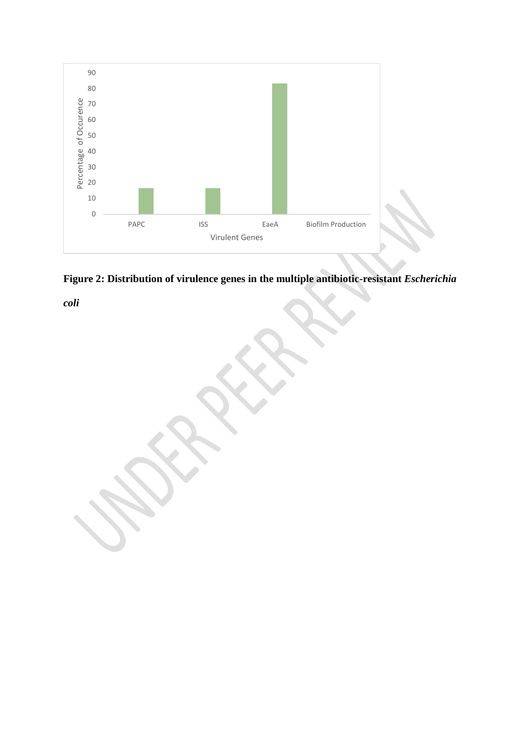



*coli*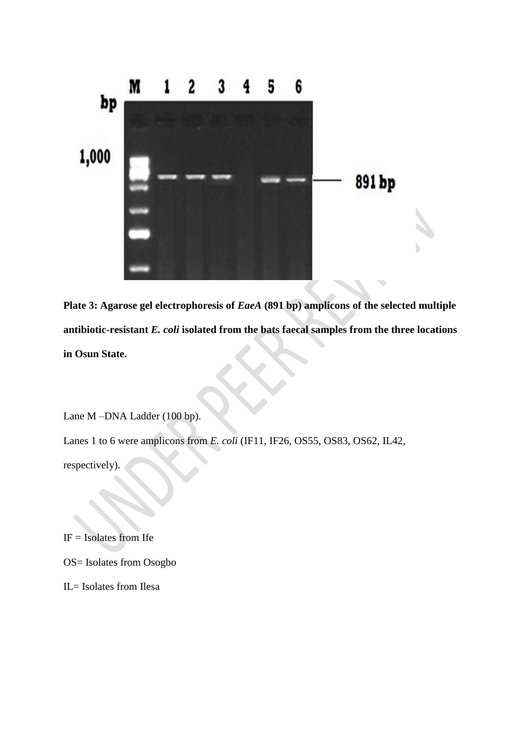

**Plate 3: Agarose gel electrophoresis of** *EaeA* **(891 bp) amplicons of the selected multiple antibiotic-resistant** *E. coli* **isolated from the bats faecal samples from the three locations in Osun State.**

Lane M –DNA Ladder (100 bp).

Lanes 1 to 6 were amplicons from *E. coli* (IF11, IF26, OS55, OS83, OS62, IL42,

respectively).

IF = Isolates from Ife

OS= Isolates from Osogbo

IL= Isolates from Ilesa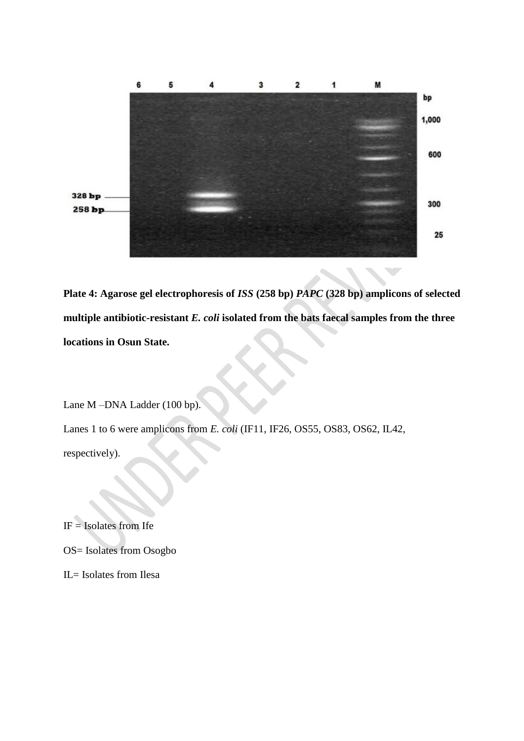

**Plate 4: Agarose gel electrophoresis of** *ISS* **(258 bp)** *PAPC* **(328 bp) amplicons of selected multiple antibiotic-resistant** *E. coli* **isolated from the bats faecal samples from the three locations in Osun State.**

Lane M –DNA Ladder (100 bp).

Lanes 1 to 6 were amplicons from *E. coli* (IF11, IF26, OS55, OS83, OS62, IL42,

respectively).

 $IF = Isolates from Ife$ 

OS= Isolates from Osogbo

IL= Isolates from Ilesa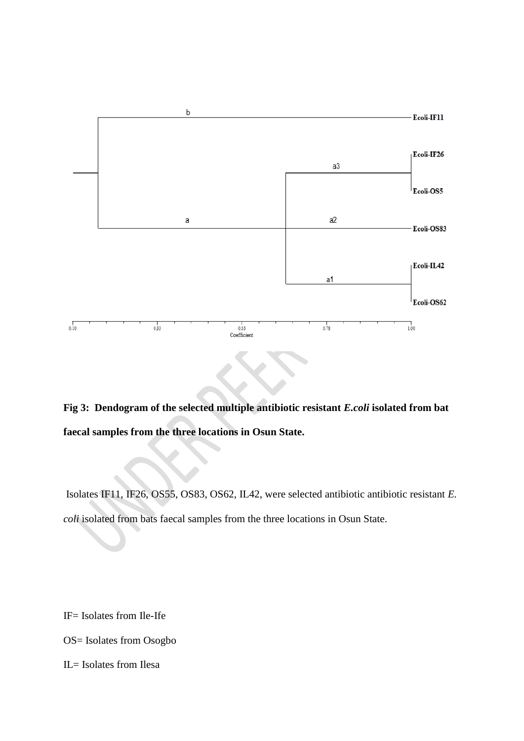

# **Fig 3: Dendogram of the selected multiple antibiotic resistant** *E.coli* **isolated from bat faecal samples from the three locations in Osun State.**

Isolates IF11, IF26, OS55, OS83, OS62, IL42, were selected antibiotic antibiotic resistant *E. coli* isolated from bats faecal samples from the three locations in Osun State.

IF= Isolates from Ile-Ife

- OS= Isolates from Osogbo
- IL= Isolates from Ilesa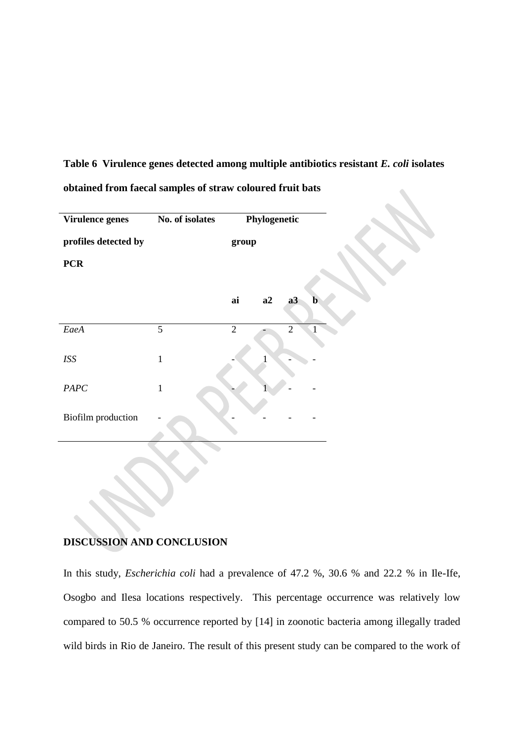# **Table 6 Virulence genes detected among multiple antibiotics resistant** *E. coli* **isolates obtained from faecal samples of straw coloured fruit bats**

| Virulence genes      | No. of isolates |                | Phylogenetic |                |              |
|----------------------|-----------------|----------------|--------------|----------------|--------------|
| profiles detected by |                 | group          |              |                |              |
| <b>PCR</b>           |                 |                |              |                |              |
|                      |                 |                |              |                |              |
|                      |                 | $a\dot{a}$     | a2           | a3             | $\mathbf{b}$ |
| EaeA                 | $\overline{5}$  | $\overline{2}$ |              | $\overline{2}$ |              |
| <b>ISS</b>           | $\mathbf{1}$    |                |              |                |              |
| $PAPC$               | $\mathbf{1}$    |                |              |                |              |
| Biofilm production   |                 |                |              |                |              |
|                      |                 |                |              |                |              |
|                      |                 |                |              |                |              |

## **DISCUSSION AND CONCLUSION**

In this study, *Escherichia coli* had a prevalence of 47.2 %, 30.6 % and 22.2 % in Ile-Ife, Osogbo and Ilesa locations respectively. This percentage occurrence was relatively low compared to 50.5 % occurrence reported by [14] in zoonotic bacteria among illegally traded wild birds in Rio de Janeiro. The result of this present study can be compared to the work of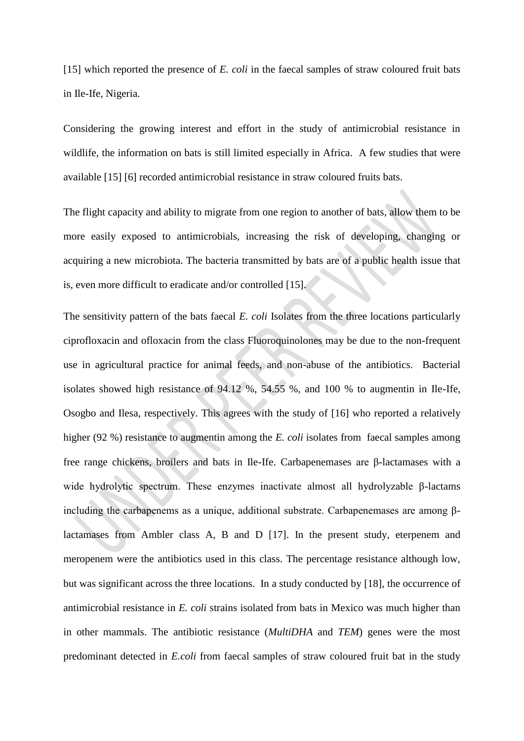[15] which reported the presence of *E. coli* in the faecal samples of straw coloured fruit bats in Ile-Ife, Nigeria.

Considering the growing interest and effort in the study of antimicrobial resistance in wildlife, the information on bats is still limited especially in Africa. A few studies that were available [15] [6] recorded antimicrobial resistance in straw coloured fruits bats.

The flight capacity and ability to migrate from one region to another of bats, allow them to be more easily exposed to antimicrobials, increasing the risk of developing, changing or acquiring a new microbiota. The bacteria transmitted by bats are of a public health issue that is, even more difficult to eradicate and/or controlled [15].

The sensitivity pattern of the bats faecal *E. coli* Isolates from the three locations particularly ciprofloxacin and ofloxacin from the class Fluoroquinolones may be due to the non-frequent use in agricultural practice for animal feeds, and non-abuse of the antibiotics. Bacterial isolates showed high resistance of 94.12 %, 54.55 %, and 100 % to augmentin in Ile-Ife, Osogbo and Ilesa, respectively. This agrees with the study of [16] who reported a relatively higher (92 %) resistance to augmentin among the *E. coli* isolates from faecal samples among free range chickens, broilers and bats in Ile-Ife. Carbapenemases are β-lactamases with a wide hydrolytic spectrum. These enzymes inactivate almost all hydrolyzable β-lactams including the carbapenems as a unique, additional substrate. Carbapenemases are among βlactamases from Ambler class A, B and D [17]. In the present study, eterpenem and meropenem were the antibiotics used in this class. The percentage resistance although low, but was significant across the three locations. In a study conducted by [18], the occurrence of antimicrobial resistance in *E. coli* strains isolated from bats in Mexico was much higher than in other mammals. The antibiotic resistance (*MultiDHA* and *TEM*) genes were the most predominant detected in *E.coli* from faecal samples of straw coloured fruit bat in the study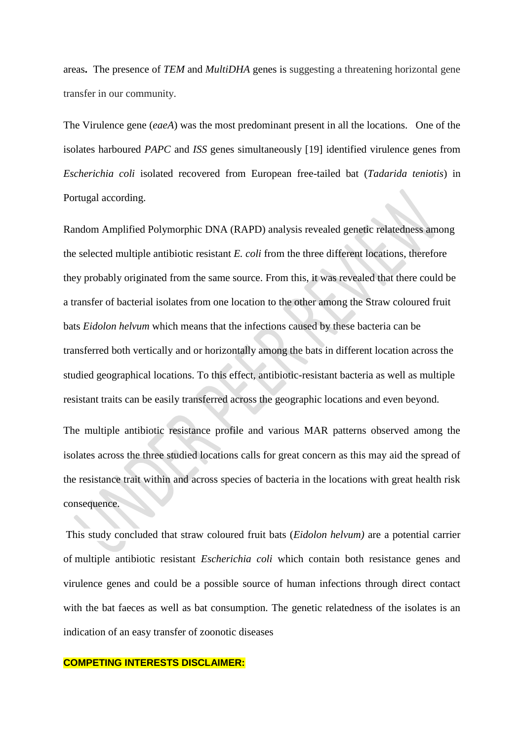areas**.** The presence of *TEM* and *MultiDHA* genes is suggesting a threatening horizontal gene transfer in our community.

The Virulence gene (*eaeA*) was the most predominant present in all the locations. One of the isolates harboured *PAPC* and *ISS* genes simultaneously [19] identified virulence genes from *Escherichia coli* isolated recovered from European free-tailed bat (*Tadarida teniotis*) in Portugal according.

Random Amplified Polymorphic DNA (RAPD) analysis revealed genetic relatedness among the selected multiple antibiotic resistant *E. coli* from the three different locations, therefore they probably originated from the same source. From this, it was revealed that there could be a transfer of bacterial isolates from one location to the other among the Straw coloured fruit bats *Eidolon helvum* which means that the infections caused by these bacteria can be transferred both vertically and or horizontally among the bats in different location across the studied geographical locations. To this effect, antibiotic-resistant bacteria as well as multiple resistant traits can be easily transferred across the geographic locations and even beyond.

The multiple antibiotic resistance profile and various MAR patterns observed among the isolates across the three studied locations calls for great concern as this may aid the spread of the resistance trait within and across species of bacteria in the locations with great health risk consequence.

This study concluded that straw coloured fruit bats (*Eidolon helvum)* are a potential carrier of multiple antibiotic resistant *Escherichia coli* which contain both resistance genes and virulence genes and could be a possible source of human infections through direct contact with the bat faeces as well as bat consumption. The genetic relatedness of the isolates is an indication of an easy transfer of zoonotic diseases

### **COMPETING INTERESTS DISCLAIMER:**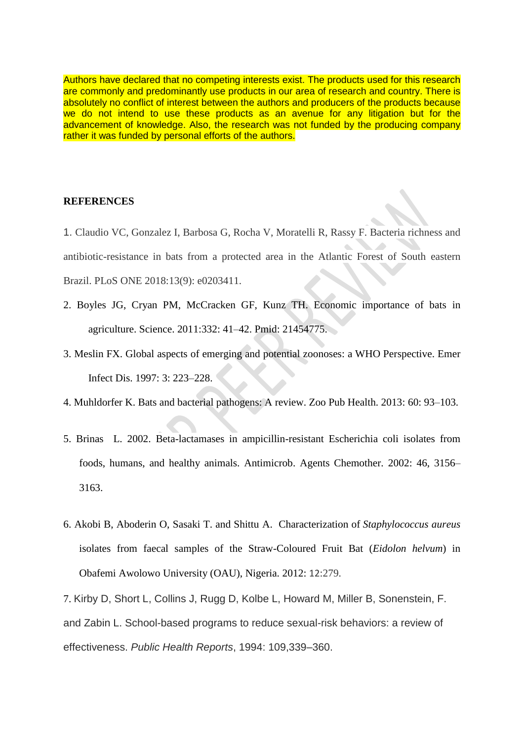Authors have declared that no competing interests exist. The products used for this research are commonly and predominantly use products in our area of research and country. There is absolutely no conflict of interest between the authors and producers of the products because we do not intend to use these products as an avenue for any litigation but for the advancement of knowledge. Also, the research was not funded by the producing company rather it was funded by personal efforts of the authors.

### **REFERENCES**

1. Claudio VC, Gonzalez I, Barbosa G, Rocha V, Moratelli R, Rassy F. Bacteria richness and antibiotic-resistance in bats from a protected area in the Atlantic Forest of South eastern Brazil. PLoS ONE 2018:13(9): e0203411.

- 2. Boyles JG, Cryan PM, McCracken GF, Kunz TH. Economic importance of bats in agriculture. Science. 2011:332: 41–42. Pmid: 21454775.
- 3. Meslin FX. Global aspects of emerging and potential zoonoses: a WHO Perspective. Emer Infect Dis. 1997: 3: 223–228.
- 4. Muhldorfer K. Bats and bacterial pathogens: A review. Zoo Pub Health. 2013: 60: 93–103.
- 5. Brinas L. 2002. Beta-lactamases in ampicillin-resistant Escherichia coli isolates from foods, humans, and healthy animals. Antimicrob. Agents Chemother. 2002: 46, 3156– 3163.
- 6. Akobi B, Aboderin O, Sasaki T. and Shittu A. Characterization of *Staphylococcus aureus*  isolates from faecal samples of the Straw-Coloured Fruit Bat (*Eidolon helvum*) in Obafemi Awolowo University (OAU), Nigeria. 2012: 12:279.

7. Kirby D, Short L, Collins J, Rugg D, Kolbe L, Howard M, Miller B, Sonenstein, F. and Zabin L. School-based programs to reduce sexual-risk behaviors: a review of effectiveness. *Public Health Reports*, 1994: 109,339–360.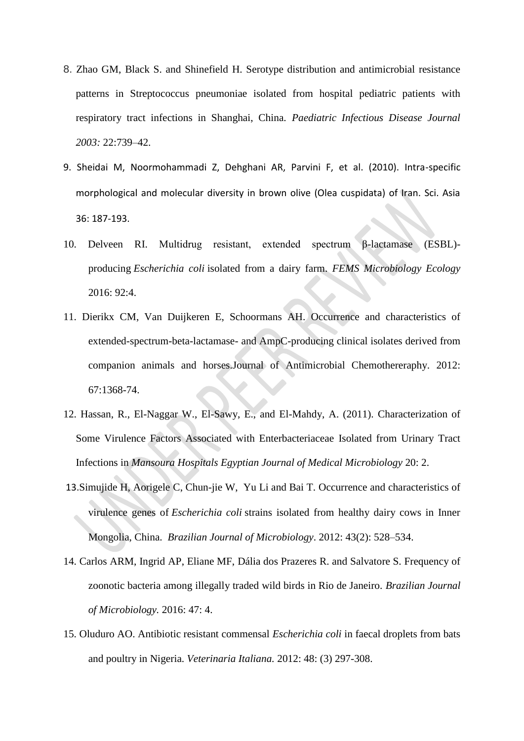- 8. Zhao GM, Black S. and Shinefield H. Serotype distribution and antimicrobial resistance patterns in Streptococcus pneumoniae isolated from hospital pediatric patients with respiratory tract infections in Shanghai, China. *Paediatric Infectious Disease Journal 2003:* 22:739–42.
- 9. Sheidai M, Noormohammadi Z, Dehghani AR, Parvini F, et al. (2010). Intra-specific morphological and molecular diversity in brown olive (Olea cuspidata) of Iran. Sci. Asia 36: 187-193.
- 10. Delveen RI. Multidrug resistant, extended spectrum β-lactamase (ESBL) producing *Escherichia coli* isolated from a dairy farm. *FEMS Microbiology Ecology* 2016: 92:4.
- 11. Dierikx CM, Van Duijkeren E, Schoormans AH. Occurrence and characteristics of extended-spectrum-beta-lactamase- and AmpC-producing clinical isolates derived from companion animals and horses.Journal of Antimicrobial Chemothereraphy. 2012: 67:1368-74.
- 12. Hassan, R., El-Naggar W., El-Sawy, E., and El-Mahdy, A. (2011). Characterization of Some Virulence Factors Associated with Enterbacteriaceae Isolated from Urinary Tract Infections in *Mansoura Hospitals Egyptian Journal of Medical Microbiology* 20: 2.
- 13.[Simujide H,](https://www.ncbi.nlm.nih.gov/pubmed/?term=Huasai%20S%5BAuthor%5D&cauthor=true&cauthor_uid=24031860) [Aorigele C,](https://www.ncbi.nlm.nih.gov/pubmed/?term=Chen%20A%5BAuthor%5D&cauthor=true&cauthor_uid=24031860) [Chun-jie](https://www.ncbi.nlm.nih.gov/pubmed/?term=Wang%20Cj%5BAuthor%5D&cauthor=true&cauthor_uid=24031860) W, [Yu Li](https://www.ncbi.nlm.nih.gov/pubmed/?term=Li%20Y%5BAuthor%5D&cauthor=true&cauthor_uid=24031860) and [Bai T.](https://www.ncbi.nlm.nih.gov/pubmed/?term=Tongrige%20B%5BAuthor%5D&cauthor=true&cauthor_uid=24031860) Occurrence and characteristics of virulence genes of *Escherichia coli* strains isolated from healthy dairy cows in Inner Mongolia, China. *[Brazilian Journal of Microbiolo](file:///C:/Users/Aladejana%20Toyin/JULY%20WORK%20IN%20PROGRESS%202019/Occurrence%20and%20characteristics%20of%20virulence%20genes%20of%20Escherichia%20coli%20strains%20isolated%20from%20healthy%20dairy%20cows%20in%20Inner%20Mongolia,%20China.htm)gy*. 2012: 43(2): 528–534.
- 14. Carlos ARM, Ingrid AP, Eliane MF, Dália dos Prazeres R. and Salvatore S. Frequency of zoonotic bacteria among illegally traded wild birds in Rio de Janeiro. *Brazilian Journal of Microbiology.* 2016: 47: 4.
- 15. Oluduro AO. Antibiotic resistant commensal *Escherichia coli* in faecal droplets from bats and poultry in Nigeria. *Veterinaria Italiana.* 2012: 48: (3) 297-308.